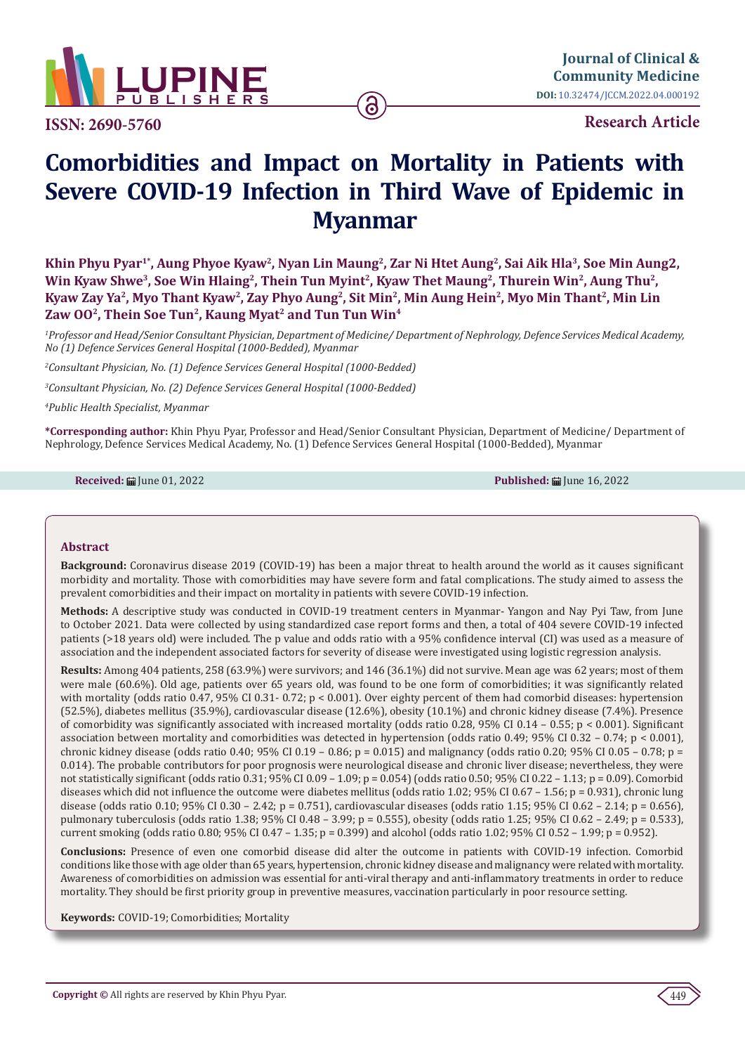

**ISSN: 2690-5760**

**Research Article**

# **Comorbidities and Impact on Mortality in Patients with Severe COVID-19 Infection in Third Wave of Epidemic in Myanmar**

6

**Khin Phyu Pyar1\*, Aung Phyoe Kyaw2, Nyan Lin Maung2, Zar Ni Htet Aung2, Sai Aik Hla3, Soe Min Aung2,**  Win Kyaw Shwe<sup>3</sup>, Soe Win Hlaing<sup>2</sup>, Thein Tun Myint<sup>2</sup>, Kyaw Thet Maung<sup>2</sup>, Thurein Win<sup>2</sup>, Aung Thu<sup>2</sup>, Kyaw Zay Ya<sup>2</sup>, Myo Thant Kyaw<sup>2</sup>, Zay Phyo Aung<sup>2</sup>, Sit Min<sup>2</sup>, Min Aung Hein<sup>2</sup>, Myo Min Thant<sup>2</sup>, Min Lin Zaw 00<sup>2</sup>, Thein Soe Tun<sup>2</sup>, Kaung Myat<sup>2</sup> and Tun Tun Win<sup>4</sup>

*1 Professor and Head/Senior Consultant Physician, Department of Medicine/ Department of Nephrology, Defence Services Medical Academy, No (1) Defence Services General Hospital (1000-Bedded), Myanmar*

*2 Consultant Physician, No. (1) Defence Services General Hospital (1000-Bedded)* 

*3 Consultant Physician, No. (2) Defence Services General Hospital (1000-Bedded)* 

*4 Public Health Specialist, Myanmar*

**\*Corresponding author:** Khin Phyu Pyar, Professor and Head/Senior Consultant Physician, Department of Medicine/ Department of Nephrology, Defence Services Medical Academy, No. (1) Defence Services General Hospital (1000-Bedded), Myanmar

**Received: iii** June 01, 2022 **Published:** *iii* **June 16, 2022 Published:** *iii* **June 16, 2022** 

## **Abstract**

**Background:** Coronavirus disease 2019 (COVID-19) has been a major threat to health around the world as it causes significant morbidity and mortality. Those with comorbidities may have severe form and fatal complications. The study aimed to assess the prevalent comorbidities and their impact on mortality in patients with severe COVID-19 infection.

**Methods:** A descriptive study was conducted in COVID-19 treatment centers in Myanmar- Yangon and Nay Pyi Taw, from June to October 2021. Data were collected by using standardized case report forms and then, a total of 404 severe COVID-19 infected patients (>18 years old) were included. The p value and odds ratio with a 95% confidence interval (CI) was used as a measure of association and the independent associated factors for severity of disease were investigated using logistic regression analysis.

**Results:** Among 404 patients, 258 (63.9%) were survivors; and 146 (36.1%) did not survive. Mean age was 62 years; most of them were male (60.6%). Old age, patients over 65 years old, was found to be one form of comorbidities; it was significantly related with mortality (odds ratio 0.47, 95% CI 0.31- 0.72; p < 0.001). Over eighty percent of them had comorbid diseases: hypertension (52.5%), diabetes mellitus (35.9%), cardiovascular disease (12.6%), obesity (10.1%) and chronic kidney disease (7.4%). Presence of comorbidity was significantly associated with increased mortality (odds ratio 0.28, 95% CI 0.14 – 0.55; p < 0.001). Significant association between mortality and comorbidities was detected in hypertension (odds ratio 0.49; 95% CI 0.32 – 0.74; p < 0.001), chronic kidney disease (odds ratio 0.40; 95% CI 0.19 – 0.86; p = 0.015) and malignancy (odds ratio 0.20; 95% CI 0.05 – 0.78; p = 0.014). The probable contributors for poor prognosis were neurological disease and chronic liver disease; nevertheless, they were not statistically significant (odds ratio 0.31; 95% CI 0.09 – 1.09; p = 0.054) (odds ratio 0.50; 95% CI 0.22 – 1.13; p = 0.09). Comorbid diseases which did not influence the outcome were diabetes mellitus (odds ratio 1.02; 95% CI 0.67 - 1.56; p = 0.931), chronic lung disease (odds ratio 0.10; 95% CI 0.30 – 2.42; p = 0.751), cardiovascular diseases (odds ratio 1.15; 95% CI 0.62 – 2.14; p = 0.656), pulmonary tuberculosis (odds ratio 1.38; 95% CI 0.48 – 3.99; p = 0.555), obesity (odds ratio 1.25; 95% CI 0.62 – 2.49; p = 0.533), current smoking (odds ratio 0.80; 95% CI 0.47 – 1.35; p = 0.399) and alcohol (odds ratio 1.02; 95% CI 0.52 – 1.99; p = 0.952).

**Conclusions:** Presence of even one comorbid disease did alter the outcome in patients with COVID-19 infection. Comorbid conditions like those with age older than 65 years, hypertension, chronic kidney disease and malignancy were related with mortality. Awareness of comorbidities on admission was essential for anti-viral therapy and anti-inflammatory treatments in order to reduce mortality. They should be first priority group in preventive measures, vaccination particularly in poor resource setting.

**Keywords:** COVID-19; Comorbidities; Mortality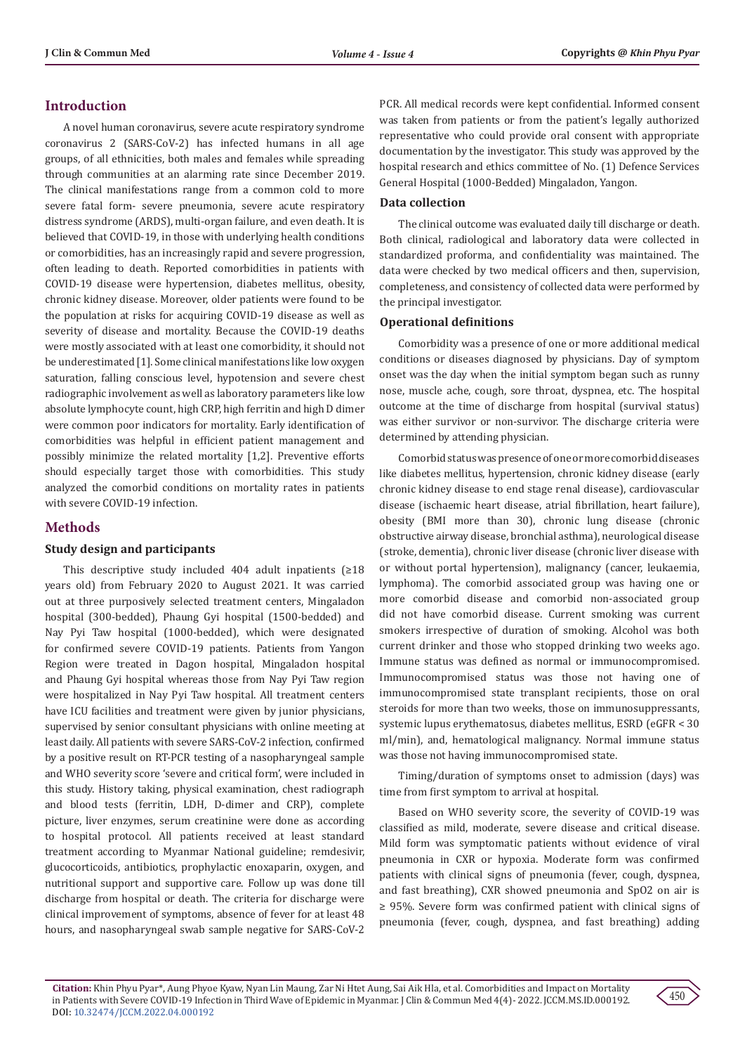# **Introduction**

A novel human coronavirus, severe acute respiratory syndrome coronavirus 2 (SARS-CoV-2) has infected humans in all age groups, of all ethnicities, both males and females while spreading through communities at an alarming rate since December 2019. The clinical manifestations range from a common cold to more severe fatal form- severe pneumonia, severe acute respiratory distress syndrome (ARDS), multi-organ failure, and even death. It is believed that COVID-19, in those with underlying health conditions or comorbidities, has an increasingly rapid and severe progression, often leading to death. Reported comorbidities in patients with COVID-19 disease were hypertension, diabetes mellitus, obesity, chronic kidney disease. Moreover, older patients were found to be the population at risks for acquiring COVID-19 disease as well as severity of disease and mortality. Because the COVID-19 deaths were mostly associated with at least one comorbidity, it should not be underestimated [1]. Some clinical manifestations like low oxygen saturation, falling conscious level, hypotension and severe chest radiographic involvement as well as laboratory parameters like low absolute lymphocyte count, high CRP, high ferritin and high D dimer were common poor indicators for mortality. Early identification of comorbidities was helpful in efficient patient management and possibly minimize the related mortality [1,2]. Preventive efforts should especially target those with comorbidities. This study analyzed the comorbid conditions on mortality rates in patients with severe COVID-19 infection.

# **Methods**

## **Study design and participants**

This descriptive study included 404 adult inpatients (≥18 years old) from February 2020 to August 2021. It was carried out at three purposively selected treatment centers, Mingaladon hospital (300-bedded), Phaung Gyi hospital (1500-bedded) and Nay Pyi Taw hospital (1000-bedded), which were designated for confirmed severe COVID-19 patients. Patients from Yangon Region were treated in Dagon hospital, Mingaladon hospital and Phaung Gyi hospital whereas those from Nay Pyi Taw region were hospitalized in Nay Pyi Taw hospital. All treatment centers have ICU facilities and treatment were given by junior physicians, supervised by senior consultant physicians with online meeting at least daily. All patients with severe SARS-CoV-2 infection, confirmed by a positive result on RT-PCR testing of a nasopharyngeal sample and WHO severity score 'severe and critical form', were included in this study. History taking, physical examination, chest radiograph and blood tests (ferritin, LDH, D-dimer and CRP), complete picture, liver enzymes, serum creatinine were done as according to hospital protocol. All patients received at least standard treatment according to Myanmar National guideline; remdesivir, glucocorticoids, antibiotics, prophylactic enoxaparin, oxygen, and nutritional support and supportive care. Follow up was done till discharge from hospital or death. The criteria for discharge were clinical improvement of symptoms, absence of fever for at least 48 hours, and nasopharyngeal swab sample negative for SARS-CoV-2

PCR. All medical records were kept confidential. Informed consent was taken from patients or from the patient's legally authorized representative who could provide oral consent with appropriate documentation by the investigator. This study was approved by the hospital research and ethics committee of No. (1) Defence Services General Hospital (1000-Bedded) Mingaladon, Yangon.

## **Data collection**

The clinical outcome was evaluated daily till discharge or death. Both clinical, radiological and laboratory data were collected in standardized proforma, and confidentiality was maintained. The data were checked by two medical officers and then, supervision, completeness, and consistency of collected data were performed by the principal investigator.

#### **Operational definitions**

Comorbidity was a presence of one or more additional medical conditions or diseases diagnosed by physicians. Day of symptom onset was the day when the initial symptom began such as runny nose, muscle ache, cough, sore throat, dyspnea, etc. The hospital outcome at the time of discharge from hospital (survival status) was either survivor or non-survivor. The discharge criteria were determined by attending physician.

Comorbid status was presence of one or more comorbid diseases like diabetes mellitus, hypertension, chronic kidney disease (early chronic kidney disease to end stage renal disease), cardiovascular disease (ischaemic heart disease, atrial fibrillation, heart failure), obesity (BMI more than 30), chronic lung disease (chronic obstructive airway disease, bronchial asthma), neurological disease (stroke, dementia), chronic liver disease (chronic liver disease with or without portal hypertension), malignancy (cancer, leukaemia, lymphoma). The comorbid associated group was having one or more comorbid disease and comorbid non-associated group did not have comorbid disease. Current smoking was current smokers irrespective of duration of smoking. Alcohol was both current drinker and those who stopped drinking two weeks ago. Immune status was defined as normal or immunocompromised. Immunocompromised status was those not having one of immunocompromised state transplant recipients, those on oral steroids for more than two weeks, those on immunosuppressants, systemic lupus erythematosus, diabetes mellitus, ESRD (eGFR < 30 ml/min), and, hematological malignancy. Normal immune status was those not having immunocompromised state.

Timing/duration of symptoms onset to admission (days) was time from first symptom to arrival at hospital.

Based on WHO severity score, the severity of COVID-19 was classified as mild, moderate, severe disease and critical disease. Mild form was symptomatic patients without evidence of viral pneumonia in CXR or hypoxia. Moderate form was confirmed patients with clinical signs of pneumonia (fever, cough, dyspnea, and fast breathing), CXR showed pneumonia and SpO2 on air is ≥ 95%. Severe form was confirmed patient with clinical signs of pneumonia (fever, cough, dyspnea, and fast breathing) adding

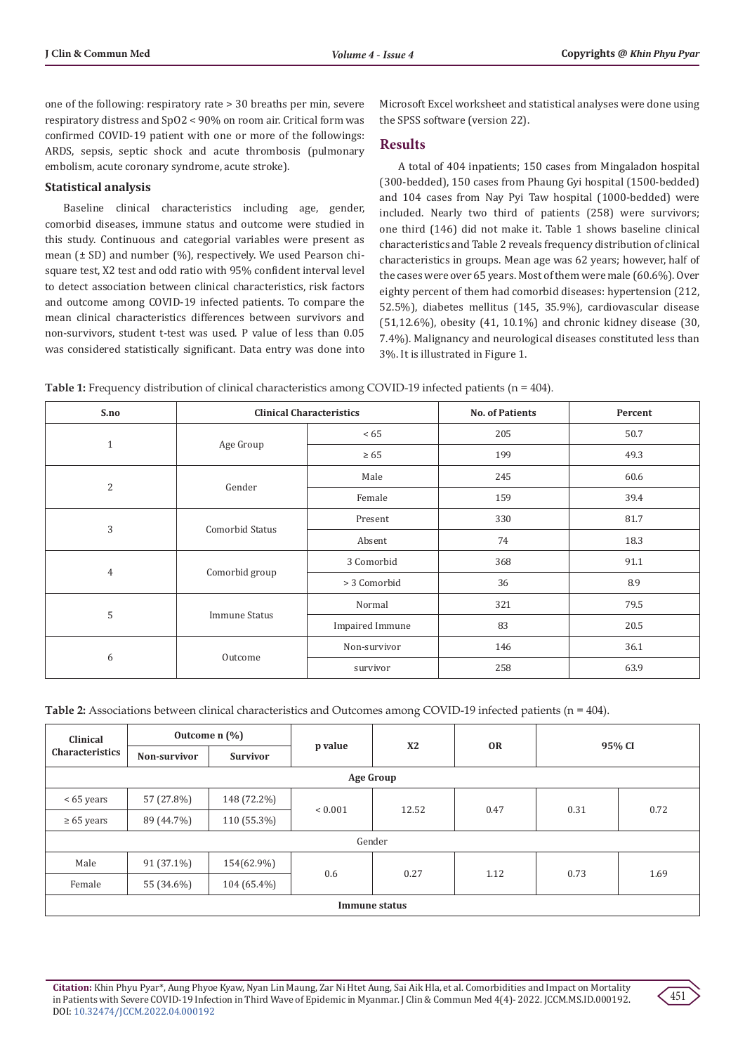one of the following: respiratory rate > 30 breaths per min, severe respiratory distress and SpO2 < 90% on room air. Critical form was confirmed COVID-19 patient with one or more of the followings: ARDS, sepsis, septic shock and acute thrombosis (pulmonary embolism, acute coronary syndrome, acute stroke).

## **Statistical analysis**

Baseline clinical characteristics including age, gender, comorbid diseases, immune status and outcome were studied in this study. Continuous and categorial variables were present as mean (± SD) and number (%), respectively. We used Pearson chisquare test, X2 test and odd ratio with 95% confident interval level to detect association between clinical characteristics, risk factors and outcome among COVID-19 infected patients. To compare the mean clinical characteristics differences between survivors and non-survivors, student t-test was used. P value of less than 0.05 was considered statistically significant. Data entry was done into

Microsoft Excel worksheet and statistical analyses were done using the SPSS software (version 22).

# **Results**

A total of 404 inpatients; 150 cases from Mingaladon hospital (300-bedded), 150 cases from Phaung Gyi hospital (1500-bedded) and 104 cases from Nay Pyi Taw hospital (1000-bedded) were included. Nearly two third of patients (258) were survivors; one third (146) did not make it. Table 1 shows baseline clinical characteristics and Table 2 reveals frequency distribution of clinical characteristics in groups. Mean age was 62 years; however, half of the cases were over 65 years. Most of them were male (60.6%). Over eighty percent of them had comorbid diseases: hypertension (212, 52.5%), diabetes mellitus (145, 35.9%), cardiovascular disease (51,12.6%), obesity (41, 10.1%) and chronic kidney disease (30, 7.4%). Malignancy and neurological diseases constituted less than 3%. It is illustrated in Figure 1.

**Table 1:** Frequency distribution of clinical characteristics among COVID-19 infected patients (n = 404).

| S.no           |                      | <b>Clinical Characteristics</b> | <b>No. of Patients</b> | Percent |
|----------------|----------------------|---------------------------------|------------------------|---------|
| $\mathbf{1}$   |                      | <65                             | 205                    | 50.7    |
|                | Age Group            | $\geq 65$                       | 199                    | 49.3    |
|                |                      | Male                            | 245                    | 60.6    |
| 2              | Gender               | Female                          | 159                    | 39.4    |
| 3              | Comorbid Status      | Present                         | 330                    | 81.7    |
|                |                      | Absent                          | 74                     | 18.3    |
| $\overline{4}$ | Comorbid group       | 3 Comorbid                      | 368                    | 91.1    |
|                |                      | > 3 Comorbid                    | 36                     | 8.9     |
| 5              | <b>Immune Status</b> | Normal                          | 321                    | 79.5    |
|                |                      | <b>Impaired Immune</b>          | 83                     | 20.5    |
| 6              |                      | Non-survivor                    | 146                    | 36.1    |
|                | Outcome              | survivor                        | 258                    | 63.9    |

| Table 2: Associations between clinical characteristics and Outcomes among COVID-19 infected patients ( $n = 404$ ). |  |  |
|---------------------------------------------------------------------------------------------------------------------|--|--|
|---------------------------------------------------------------------------------------------------------------------|--|--|

| Clinical<br><b>Characteristics</b> | Outcome $n$ $\left(\frac{9}{6}\right)$ |                 |             |                |           |        |      |  |
|------------------------------------|----------------------------------------|-----------------|-------------|----------------|-----------|--------|------|--|
|                                    | Non-survivor                           | <b>Survivor</b> | p value     | X <sub>2</sub> | <b>OR</b> | 95% CI |      |  |
| <b>Age Group</b>                   |                                        |                 |             |                |           |        |      |  |
| < 65 years                         | 57 (27.8%)                             | 148 (72.2%)     | ${}< 0.001$ | 12.52          | 0.47      | 0.31   | 0.72 |  |
| $\geq 65$ years                    | 89 (44.7%)                             | 110 (55.3%)     |             |                |           |        |      |  |
| Gender                             |                                        |                 |             |                |           |        |      |  |
| Male                               | $91(37.1\%)$                           | 154(62.9%)      | 0.6         | 0.27           | 1.12      | 0.73   | 1.69 |  |
| Female                             | 55 (34.6%)                             | 104 (65.4%)     |             |                |           |        |      |  |
| Immune status                      |                                        |                 |             |                |           |        |      |  |

**Citation:** Khin Phyu Pyar\*, Aung Phyoe Kyaw, Nyan Lin Maung, Zar Ni Htet Aung, Sai Aik Hla, et al. Comorbidities and Impact on Mortality in Patients with Severe COVID-19 Infection in Third Wave of Epidemic in Myanmar. J Clin & Commun Med 4(4)- 2022. JCCM.MS.ID.000192. DOI: [10.32474/JCCM.2022.04.000192](http://dx.doi.org/10.32474/JCCM.2022.04.000192)

451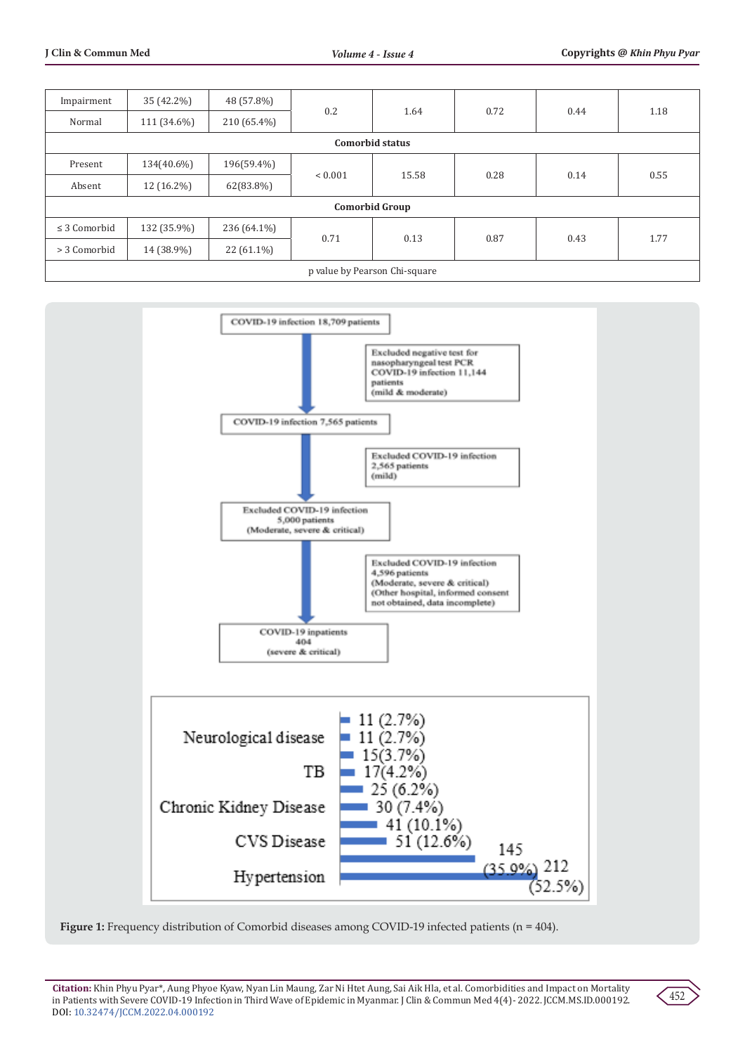| Impairment                    | 35 (42.2%)  | 48 (57.8%)   | 0.2         | 1.64  | 0.72 | 0.44 | 1.18 |
|-------------------------------|-------------|--------------|-------------|-------|------|------|------|
| Normal                        | 111 (34.6%) | 210 (65.4%)  |             |       |      |      |      |
| Comorbid status               |             |              |             |       |      |      |      |
| Present                       | 134(40.6%)  | 196(59.4%)   | ${}< 0.001$ | 15.58 | 0.28 | 0.14 | 0.55 |
| Absent                        | 12 (16.2%)  | 62(83.8%)    |             |       |      |      |      |
| <b>Comorbid Group</b>         |             |              |             |       |      |      |      |
| $\leq$ 3 Comorbid             | 132 (35.9%) | 236 (64.1%)  | 0.71        | 0.13  | 0.87 | 0.43 | 1.77 |
| > 3 Comorbid                  | 14 (38.9%)  | $22(61.1\%)$ |             |       |      |      |      |
| p value by Pearson Chi-square |             |              |             |       |      |      |      |



**Figure 1:** Frequency distribution of Comorbid diseases among COVID-19 infected patients (n = 404).

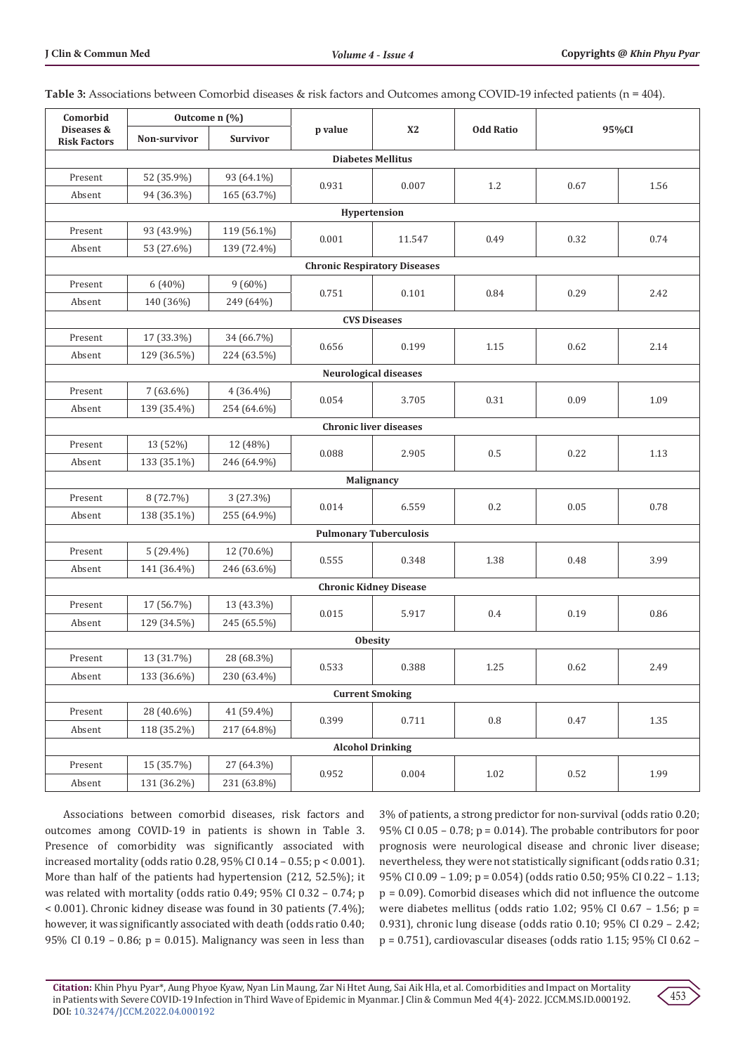| Comorbid                          | Outcome n (%)                       |                 |         |                               |                  |      |       |  |  |
|-----------------------------------|-------------------------------------|-----------------|---------|-------------------------------|------------------|------|-------|--|--|
| Diseases &<br><b>Risk Factors</b> | Non-survivor                        | <b>Survivor</b> | p value | <b>X2</b>                     | <b>Odd Ratio</b> |      | 95%CI |  |  |
| <b>Diabetes Mellitus</b>          |                                     |                 |         |                               |                  |      |       |  |  |
| Present                           | 52 (35.9%)                          | 93 (64.1%)      | 0.931   |                               | 1.2              |      |       |  |  |
| Absent                            | 94 (36.3%)                          | 165 (63.7%)     |         | 0.007                         |                  | 0.67 | 1.56  |  |  |
|                                   | Hypertension                        |                 |         |                               |                  |      |       |  |  |
| Present                           | 93 (43.9%)                          | 119 (56.1%)     | 0.001   | 11.547                        | 0.49             | 0.32 | 0.74  |  |  |
| Absent                            | 53 (27.6%)                          | 139 (72.4%)     |         |                               |                  |      |       |  |  |
|                                   | <b>Chronic Respiratory Diseases</b> |                 |         |                               |                  |      |       |  |  |
| Present                           | 6 (40%)                             | $9(60\%)$       | 0.751   | 0.101                         | 0.84             | 0.29 | 2.42  |  |  |
| Absent                            | 140 (36%)                           | 249 (64%)       |         |                               |                  |      |       |  |  |
|                                   |                                     |                 |         | <b>CVS Diseases</b>           |                  |      |       |  |  |
| Present                           | 17 (33.3%)                          | 34 (66.7%)      | 0.656   | 0.199                         | 1.15             | 0.62 | 2.14  |  |  |
| Absent                            | 129 (36.5%)                         | 224 (63.5%)     |         |                               |                  |      |       |  |  |
|                                   |                                     |                 |         | Neurological diseases         |                  |      |       |  |  |
| Present                           | $7(63.6\%)$                         | $4(36.4\%)$     | 0.054   | 3.705                         | 0.31             | 0.09 | 1.09  |  |  |
| Absent                            | 139 (35.4%)                         | 254 (64.6%)     |         |                               |                  |      |       |  |  |
|                                   |                                     |                 |         | <b>Chronic liver diseases</b> |                  |      |       |  |  |
| Present                           | 13 (52%)                            | 12 (48%)        | 0.088   | 2.905                         | 0.5              | 0.22 | 1.13  |  |  |
| Absent                            | 133 (35.1%)                         | 246 (64.9%)     |         |                               |                  |      |       |  |  |
|                                   |                                     |                 |         | Malignancy                    |                  |      |       |  |  |
| Present                           | 8 (72.7%)                           | 3(27.3%)        | 0.014   | 6.559                         | 0.2              | 0.05 | 0.78  |  |  |
| Absent                            | 138 (35.1%)                         | 255 (64.9%)     |         |                               |                  |      |       |  |  |
| <b>Pulmonary Tuberculosis</b>     |                                     |                 |         |                               |                  |      |       |  |  |
| Present                           | $5(29.4\%)$                         | 12 (70.6%)      | 0.555   | 0.348                         | 1.38             | 0.48 | 3.99  |  |  |
| Absent                            | 141 (36.4%)                         | 246 (63.6%)     |         |                               |                  |      |       |  |  |
|                                   |                                     |                 |         | <b>Chronic Kidney Disease</b> |                  |      |       |  |  |
| Present                           | 17 (56.7%)                          | 13 (43.3%)      | 0.015   | 5.917                         | 0.4              | 0.19 | 0.86  |  |  |
| Absent                            | 129 (34.5%)                         | 245 (65.5%)     |         |                               |                  |      |       |  |  |
|                                   |                                     |                 |         | <b>Obesity</b>                |                  |      |       |  |  |
| Present                           | 13 (31.7%)                          | 28 (68.3%)      | 0.533   | 0.388                         | $1.25\,$         | 0.62 | 2.49  |  |  |
| Absent                            | 133 (36.6%)                         | 230 (63.4%)     |         |                               |                  |      |       |  |  |
|                                   |                                     |                 |         | <b>Current Smoking</b>        |                  |      |       |  |  |
| Present                           | 28 (40.6%)                          | 41 (59.4%)      | 0.399   | 0.711                         | $\rm 0.8$        | 0.47 | 1.35  |  |  |
| Absent                            | 118 (35.2%)                         | 217 (64.8%)     |         |                               |                  |      |       |  |  |
| <b>Alcohol Drinking</b>           |                                     |                 |         |                               |                  |      |       |  |  |
| Present                           | 15 (35.7%)                          | 27 (64.3%)      | 0.952   | 0.004                         | 1.02             | 0.52 | 1.99  |  |  |
| Absent                            | 131 (36.2%)                         | 231 (63.8%)     |         |                               |                  |      |       |  |  |

**Table 3:** Associations between Comorbid diseases & risk factors and Outcomes among COVID-19 infected patients (n = 404).

Associations between comorbid diseases, risk factors and outcomes among COVID-19 in patients is shown in Table 3. Presence of comorbidity was significantly associated with increased mortality (odds ratio 0.28, 95% CI 0.14 – 0.55; p < 0.001). More than half of the patients had hypertension (212, 52.5%); it was related with mortality (odds ratio 0.49; 95% CI 0.32 – 0.74; p < 0.001). Chronic kidney disease was found in 30 patients (7.4%); however, it was significantly associated with death (odds ratio 0.40; 95% CI 0.19 – 0.86; p = 0.015). Malignancy was seen in less than

3% of patients, a strong predictor for non-survival (odds ratio 0.20; 95% CI 0.05 – 0.78; p = 0.014). The probable contributors for poor prognosis were neurological disease and chronic liver disease; nevertheless, they were not statistically significant (odds ratio 0.31; 95% CI 0.09 – 1.09; p = 0.054) (odds ratio 0.50; 95% CI 0.22 – 1.13; p = 0.09). Comorbid diseases which did not influence the outcome were diabetes mellitus (odds ratio 1.02; 95% CI 0.67 – 1.56; p = 0.931), chronic lung disease (odds ratio 0.10; 95% CI 0.29 – 2.42; p = 0.751), cardiovascular diseases (odds ratio 1.15; 95% CI 0.62 –

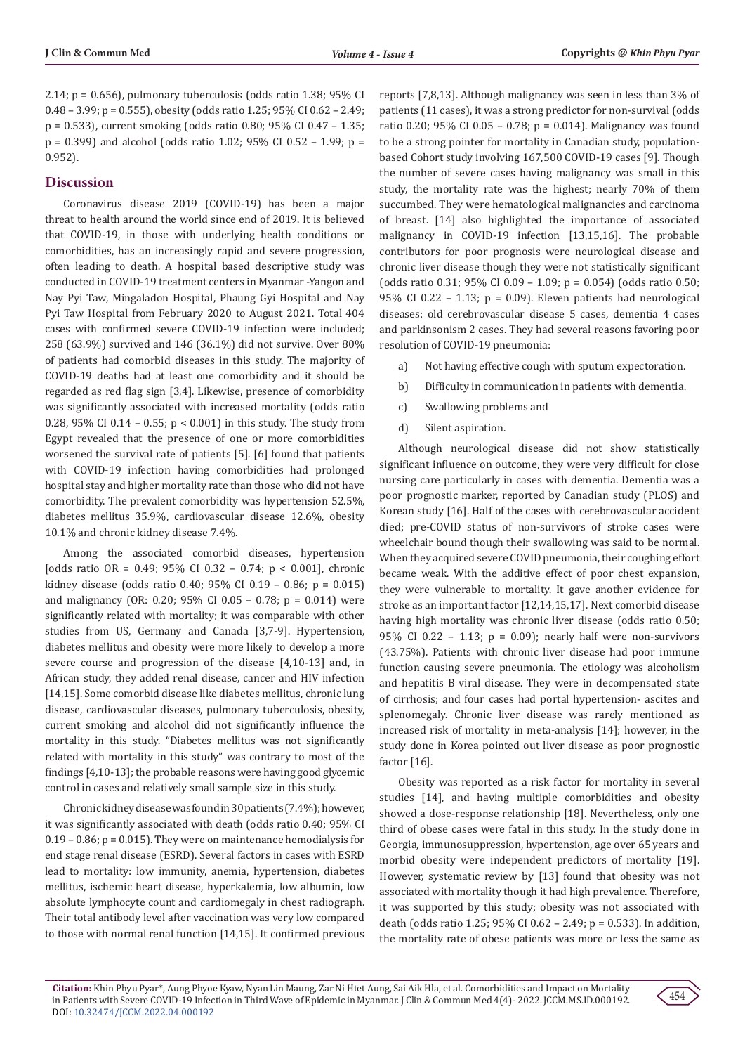2.14;  $p = 0.656$ ), pulmonary tuberculosis (odds ratio 1.38; 95% CI 0.48 – 3.99; p = 0.555), obesity (odds ratio 1.25; 95% CI 0.62 – 2.49; p = 0.533), current smoking (odds ratio 0.80; 95% CI 0.47 – 1.35; p = 0.399) and alcohol (odds ratio 1.02; 95% CI 0.52 – 1.99; p = 0.952).

## **Discussion**

Coronavirus disease 2019 (COVID-19) has been a major threat to health around the world since end of 2019. It is believed that COVID-19, in those with underlying health conditions or comorbidities, has an increasingly rapid and severe progression, often leading to death. A hospital based descriptive study was conducted in COVID-19 treatment centers in Myanmar -Yangon and Nay Pyi Taw, Mingaladon Hospital, Phaung Gyi Hospital and Nay Pyi Taw Hospital from February 2020 to August 2021. Total 404 cases with confirmed severe COVID-19 infection were included; 258 (63.9%) survived and 146 (36.1%) did not survive. Over 80% of patients had comorbid diseases in this study. The majority of COVID-19 deaths had at least one comorbidity and it should be regarded as red flag sign [3,4]. Likewise, presence of comorbidity was significantly associated with increased mortality (odds ratio 0.28, 95% CI 0.14 – 0.55; p < 0.001) in this study. The study from Egypt revealed that the presence of one or more comorbidities worsened the survival rate of patients [5]. [6] found that patients with COVID-19 infection having comorbidities had prolonged hospital stay and higher mortality rate than those who did not have comorbidity. The prevalent comorbidity was hypertension 52.5%, diabetes mellitus 35.9%, cardiovascular disease 12.6%, obesity 10.1% and chronic kidney disease 7.4%.

Among the associated comorbid diseases, hypertension [odds ratio OR = 0.49; 95% CI 0.32 - 0.74;  $p < 0.001$ ], chronic kidney disease (odds ratio 0.40; 95% CI 0.19 – 0.86; p = 0.015) and malignancy (OR: 0.20; 95% CI 0.05 – 0.78; p = 0.014) were significantly related with mortality; it was comparable with other studies from US, Germany and Canada [3,7-9]. Hypertension, diabetes mellitus and obesity were more likely to develop a more severe course and progression of the disease [4,10-13] and, in African study, they added renal disease, cancer and HIV infection [14,15]. Some comorbid disease like diabetes mellitus, chronic lung disease, cardiovascular diseases, pulmonary tuberculosis, obesity, current smoking and alcohol did not significantly influence the mortality in this study. "Diabetes mellitus was not significantly related with mortality in this study" was contrary to most of the findings [4,10-13]; the probable reasons were having good glycemic control in cases and relatively small sample size in this study.

Chronic kidney disease was found in 30 patients (7.4%); however, it was significantly associated with death (odds ratio 0.40; 95% CI  $0.19 - 0.86$ ;  $p = 0.015$ ). They were on maintenance hemodialysis for end stage renal disease (ESRD). Several factors in cases with ESRD lead to mortality: low immunity, anemia, hypertension, diabetes mellitus, ischemic heart disease, hyperkalemia, low albumin, low absolute lymphocyte count and cardiomegaly in chest radiograph. Their total antibody level after vaccination was very low compared to those with normal renal function [14,15]. It confirmed previous reports [7,8,13]. Although malignancy was seen in less than 3% of patients (11 cases), it was a strong predictor for non-survival (odds ratio 0.20; 95% CI 0.05 – 0.78; p = 0.014). Malignancy was found to be a strong pointer for mortality in Canadian study, populationbased Cohort study involving 167,500 COVID-19 cases [9]. Though the number of severe cases having malignancy was small in this study, the mortality rate was the highest; nearly 70% of them succumbed. They were hematological malignancies and carcinoma of breast. [14] also highlighted the importance of associated malignancy in COVID-19 infection [13,15,16]. The probable contributors for poor prognosis were neurological disease and chronic liver disease though they were not statistically significant (odds ratio 0.31; 95% CI 0.09 – 1.09; p = 0.054) (odds ratio 0.50; 95% CI 0.22 – 1.13;  $p = 0.09$ ). Eleven patients had neurological diseases: old cerebrovascular disease 5 cases, dementia 4 cases and parkinsonism 2 cases. They had several reasons favoring poor resolution of COVID-19 pneumonia:

- a) Not having effective cough with sputum expectoration.
- b) Difficulty in communication in patients with dementia.
- c) Swallowing problems and
- d) Silent aspiration.

Although neurological disease did not show statistically significant influence on outcome, they were very difficult for close nursing care particularly in cases with dementia. Dementia was a poor prognostic marker, reported by Canadian study (PLOS) and Korean study [16]. Half of the cases with cerebrovascular accident died; pre-COVID status of non-survivors of stroke cases were wheelchair bound though their swallowing was said to be normal. When they acquired severe COVID pneumonia, their coughing effort became weak. With the additive effect of poor chest expansion, they were vulnerable to mortality. It gave another evidence for stroke as an important factor [12,14,15,17]. Next comorbid disease having high mortality was chronic liver disease (odds ratio 0.50; 95% CI 0.22 – 1.13; p = 0.09); nearly half were non-survivors (43.75%). Patients with chronic liver disease had poor immune function causing severe pneumonia. The etiology was alcoholism and hepatitis B viral disease. They were in decompensated state of cirrhosis; and four cases had portal hypertension- ascites and splenomegaly. Chronic liver disease was rarely mentioned as increased risk of mortality in meta-analysis [14]; however, in the study done in Korea pointed out liver disease as poor prognostic factor [16].

Obesity was reported as a risk factor for mortality in several studies [14], and having multiple comorbidities and obesity showed a dose-response relationship [18]. Nevertheless, only one third of obese cases were fatal in this study. In the study done in Georgia, immunosuppression, hypertension, age over 65 years and morbid obesity were independent predictors of mortality [19]. However, systematic review by [13] found that obesity was not associated with mortality though it had high prevalence. Therefore, it was supported by this study; obesity was not associated with death (odds ratio 1.25; 95% CI 0.62 – 2.49; p = 0.533). In addition, the mortality rate of obese patients was more or less the same as

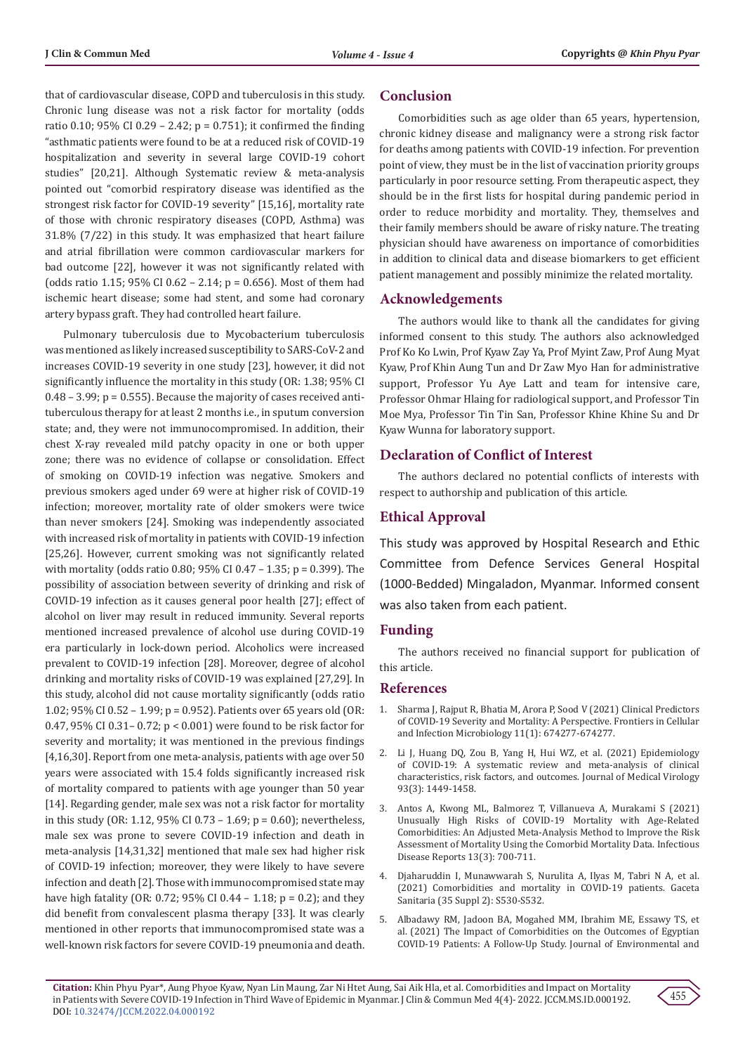that of cardiovascular disease, COPD and tuberculosis in this study. Chronic lung disease was not a risk factor for mortality (odds ratio 0.10; 95% CI 0.29 – 2.42; p = 0.751); it confirmed the finding "asthmatic patients were found to be at a reduced risk of COVID-19 hospitalization and severity in several large COVID-19 cohort studies" [20,21]. Although Systematic review & meta-analysis pointed out "comorbid respiratory disease was identified as the strongest risk factor for COVID-19 severity" [15,16], mortality rate of those with chronic respiratory diseases (COPD, Asthma) was 31.8% (7/22) in this study. It was emphasized that heart failure and atrial fibrillation were common cardiovascular markers for bad outcome [22], however it was not significantly related with (odds ratio 1.15; 95% CI 0.62 – 2.14; p = 0.656). Most of them had ischemic heart disease; some had stent, and some had coronary artery bypass graft. They had controlled heart failure.

Pulmonary tuberculosis due to Mycobacterium tuberculosis was mentioned as likely increased susceptibility to SARS-CoV-2 and increases COVID-19 severity in one study [23], however, it did not significantly influence the mortality in this study (OR: 1.38; 95% CI  $0.48 - 3.99$ ;  $p = 0.555$ ). Because the majority of cases received antituberculous therapy for at least 2 months i.e., in sputum conversion state; and, they were not immunocompromised. In addition, their chest X-ray revealed mild patchy opacity in one or both upper zone; there was no evidence of collapse or consolidation. Effect of smoking on COVID-19 infection was negative. Smokers and previous smokers aged under 69 were at higher risk of COVID-19 infection; moreover, mortality rate of older smokers were twice than never smokers [24]. Smoking was independently associated with increased risk of mortality in patients with COVID-19 infection [25,26]. However, current smoking was not significantly related with mortality (odds ratio 0.80; 95% CI 0.47 – 1.35; p = 0.399). The possibility of association between severity of drinking and risk of COVID-19 infection as it causes general poor health [27]; effect of alcohol on liver may result in reduced immunity. Several reports mentioned increased prevalence of alcohol use during COVID-19 era particularly in lock-down period. Alcoholics were increased prevalent to COVID-19 infection [28]. Moreover, degree of alcohol drinking and mortality risks of COVID-19 was explained [27,29]. In this study, alcohol did not cause mortality significantly (odds ratio 1.02; 95% CI 0.52 – 1.99; p = 0.952). Patients over 65 years old (OR: 0.47, 95% CI 0.31– 0.72; p < 0.001) were found to be risk factor for severity and mortality; it was mentioned in the previous findings [4,16,30]. Report from one meta-analysis, patients with age over 50 years were associated with 15.4 folds significantly increased risk of mortality compared to patients with age younger than 50 year [14]. Regarding gender, male sex was not a risk factor for mortality in this study (OR: 1.12, 95% CI 0.73 – 1.69; p = 0.60); nevertheless, male sex was prone to severe COVID-19 infection and death in meta-analysis [14,31,32] mentioned that male sex had higher risk of COVID-19 infection; moreover, they were likely to have severe infection and death [2]. Those with immunocompromised state may have high fatality (OR: 0.72; 95% CI 0.44 – 1.18;  $p = 0.2$ ); and they did benefit from convalescent plasma therapy [33]. It was clearly mentioned in other reports that immunocompromised state was a well-known risk factors for severe COVID-19 pneumonia and death.

## **Conclusion**

Comorbidities such as age older than 65 years, hypertension, chronic kidney disease and malignancy were a strong risk factor for deaths among patients with COVID-19 infection. For prevention point of view, they must be in the list of vaccination priority groups particularly in poor resource setting. From therapeutic aspect, they should be in the first lists for hospital during pandemic period in order to reduce morbidity and mortality. They, themselves and their family members should be aware of risky nature. The treating physician should have awareness on importance of comorbidities in addition to clinical data and disease biomarkers to get efficient patient management and possibly minimize the related mortality.

## **Acknowledgements**

The authors would like to thank all the candidates for giving informed consent to this study. The authors also acknowledged Prof Ko Ko Lwin, Prof Kyaw Zay Ya, Prof Myint Zaw, Prof Aung Myat Kyaw, Prof Khin Aung Tun and Dr Zaw Myo Han for administrative support, Professor Yu Aye Latt and team for intensive care, Professor Ohmar Hlaing for radiological support, and Professor Tin Moe Mya, Professor Tin Tin San, Professor Khine Khine Su and Dr Kyaw Wunna for laboratory support.

# **Declaration of Conflict of Interest**

The authors declared no potential conflicts of interests with respect to authorship and publication of this article.

# **Ethical Approval**

This study was approved by Hospital Research and Ethic Committee from Defence Services General Hospital (1000-Bedded) Mingaladon, Myanmar. Informed consent was also taken from each patient.

## **Funding**

The authors received no financial support for publication of this article.

## **References**

- 1. [Sharma J, Rajput R, Bhatia M, Arora P, Sood V \(2021\) Clinical Predictors](https://pubmed.ncbi.nlm.nih.gov/34760713/) [of COVID-19 Severity and Mortality: A Perspective. Frontiers in Cellular](https://pubmed.ncbi.nlm.nih.gov/34760713/) [and Infection Microbiology 11\(1\): 674277-674277.](https://pubmed.ncbi.nlm.nih.gov/34760713/)
- 2. [Li J, Huang DQ, Zou B, Yang H, Hui WZ, et al. \(2021\) Epidemiology](https://pubmed.ncbi.nlm.nih.gov/32790106/) [of COVID-19: A systematic review and meta-analysis of clinical](https://pubmed.ncbi.nlm.nih.gov/32790106/) [characteristics, risk factors, and outcomes. Journal of Medical Virology](https://pubmed.ncbi.nlm.nih.gov/32790106/) [93\(3\): 1449-1458.](https://pubmed.ncbi.nlm.nih.gov/32790106/)
- 3. [Antos A, Kwong ML, Balmorez T, Villanueva A, Murakami S \(2021\)](https://www.mdpi.com/2036-7449/13/3/65) [Unusually High Risks of COVID-19 Mortality with Age-Related](https://www.mdpi.com/2036-7449/13/3/65) [Comorbidities: An Adjusted Meta-Analysis Method to Improve the Risk](https://www.mdpi.com/2036-7449/13/3/65) [Assessment of Mortality Using the Comorbid Mortality Data. Infectious](https://www.mdpi.com/2036-7449/13/3/65) [Disease Reports 13\(3\): 700-711.](https://www.mdpi.com/2036-7449/13/3/65)
- 4. [Djaharuddin I, Munawwarah S, Nurulita A, Ilyas M, Tabri N A, et al.](https://pubmed.ncbi.nlm.nih.gov/34929892/) [\(2021\) Comorbidities and mortality in COVID-19 patients. Gaceta](https://pubmed.ncbi.nlm.nih.gov/34929892/) [Sanitaria \(35 Suppl 2\): S530-S532.](https://pubmed.ncbi.nlm.nih.gov/34929892/)
- 5. [Albadawy RM, Jadoon BA, Mogahed MM, Ibrahim ME, Essawy TS, et](https://pubmed.ncbi.nlm.nih.gov/34239576/) [al. \(2021\) The Impact of Comorbidities on the Outcomes of Egyptian](https://pubmed.ncbi.nlm.nih.gov/34239576/) [COVID-19 Patients: A Follow-Up Study. Journal of Environmental and](https://pubmed.ncbi.nlm.nih.gov/34239576/)

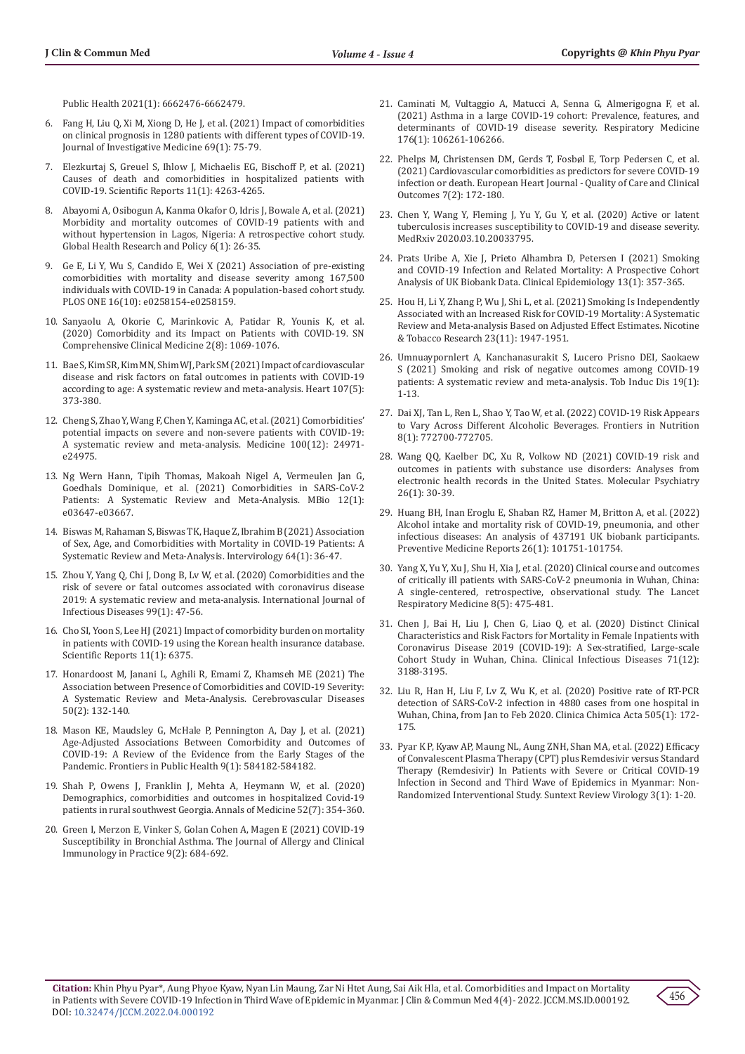[Public Health 2021\(1\): 6662476-6662479.](https://pubmed.ncbi.nlm.nih.gov/34239576/)

- 6. [Fang H, Liu Q, Xi M, Xiong D, He J, et al. \(2021\) Impact of comorbidities](https://www.researchgate.net/publication/346206384_Impact_of_comorbidities_on_clinical_prognosis_in_1280_patients_with_different_types_of_COVID-19)  [on clinical prognosis in 1280 patients with different types of COVID-19.](https://www.researchgate.net/publication/346206384_Impact_of_comorbidities_on_clinical_prognosis_in_1280_patients_with_different_types_of_COVID-19)  [Journal of Investigative Medicine 69\(1\): 75-79.](https://www.researchgate.net/publication/346206384_Impact_of_comorbidities_on_clinical_prognosis_in_1280_patients_with_different_types_of_COVID-19)
- 7. [Elezkurtaj S, Greuel S, Ihlow J, Michaelis EG, Bischoff P, et al. \(2021\)](https://pubmed.ncbi.nlm.nih.gov/33608563/)  [Causes of death and comorbidities in hospitalized patients with](https://pubmed.ncbi.nlm.nih.gov/33608563/)  [COVID-19. Scientific Reports 11\(1\): 4263-4265.](https://pubmed.ncbi.nlm.nih.gov/33608563/)
- 8. [Abayomi A, Osibogun A, Kanma Okafor O, Idris J, Bowale A, et al. \(2021\)](https://pubmed.ncbi.nlm.nih.gov/34325747/)  [Morbidity and mortality outcomes of COVID-19 patients with and](https://pubmed.ncbi.nlm.nih.gov/34325747/)  [without hypertension in Lagos, Nigeria: A retrospective cohort study.](https://pubmed.ncbi.nlm.nih.gov/34325747/)  [Global Health Research and Policy 6\(1\): 26-35.](https://pubmed.ncbi.nlm.nih.gov/34325747/)
- 9. [Ge E, Li Y, Wu S, Candido E, Wei X \(2021\) Association of pre-existing](https://journals.plos.org/plosone/article?id=10.1371/journal.pone.0258154)  [comorbidities with mortality and disease severity among 167,500](https://journals.plos.org/plosone/article?id=10.1371/journal.pone.0258154)  [individuals with COVID-19 in Canada: A population-based cohort study.](https://journals.plos.org/plosone/article?id=10.1371/journal.pone.0258154)  [PLOS ONE 16\(10\): e0258154-e0258159.](https://journals.plos.org/plosone/article?id=10.1371/journal.pone.0258154)
- 10. [Sanyaolu A, Okorie C, Marinkovic A, Patidar R, Younis K, et al.](https://pubmed.ncbi.nlm.nih.gov/32838147/)  [\(2020\) Comorbidity and its Impact on Patients with COVID-19. SN](https://pubmed.ncbi.nlm.nih.gov/32838147/)  [Comprehensive Clinical Medicine 2\(8\): 1069-1076.](https://pubmed.ncbi.nlm.nih.gov/32838147/)
- 11. [Bae S, Kim SR, Kim MN, Shim WJ, Park SM \(2021\) Impact of cardiovascular](https://pubmed.ncbi.nlm.nih.gov/33334865/)  [disease and risk factors on fatal outcomes in patients with COVID-19](https://pubmed.ncbi.nlm.nih.gov/33334865/)  [according to age: A systematic review and meta-analysis. Heart 107\(5\):](https://pubmed.ncbi.nlm.nih.gov/33334865/)  [373-380.](https://pubmed.ncbi.nlm.nih.gov/33334865/)
- 12. Cheng S, Zhao Y, Wang F, Chen Y, Kaminga AC, et al. (2021) Comorbidities' potential impacts on severe and non-severe patients with COVID-19: A systematic review and meta-analysis. Medicine 100(12): 24971 e24975.
- 13. [Ng Wern Hann, Tipih Thomas, Makoah Nigel A, Vermeulen Jan G,](https://pubmed.ncbi.nlm.nih.gov/33563817/)  [Goedhals Dominique, et al. \(2021\) Comorbidities in SARS-CoV-2](https://pubmed.ncbi.nlm.nih.gov/33563817/)  [Patients: A Systematic Review and Meta-Analysis. MBio 12\(1\):](https://pubmed.ncbi.nlm.nih.gov/33563817/)  [e03647-e03667.](https://pubmed.ncbi.nlm.nih.gov/33563817/)
- 14. [Biswas M, Rahaman S, Biswas TK, Haque Z, Ibrahim B \(2021\) Association](https://pubmed.ncbi.nlm.nih.gov/33296901/)  [of Sex, Age, and Comorbidities with Mortality in COVID-19 Patients: A](https://pubmed.ncbi.nlm.nih.gov/33296901/)  [Systematic Review and Meta-Analysis. Intervirology 64\(1\): 36-47.](https://pubmed.ncbi.nlm.nih.gov/33296901/)
- 15. [Zhou Y, Yang Q, Chi J, Dong B, Lv W, et al. \(2020\) Comorbidities and the](https://pubmed.ncbi.nlm.nih.gov/32721533/)  [risk of severe or fatal outcomes associated with coronavirus disease](https://pubmed.ncbi.nlm.nih.gov/32721533/)  [2019: A systematic review and meta-analysis. International Journal of](https://pubmed.ncbi.nlm.nih.gov/32721533/)  [Infectious Diseases 99\(1\): 47-56.](https://pubmed.ncbi.nlm.nih.gov/32721533/)
- 16. [Cho SI, Yoon S, Lee HJ \(2021\) Impact of comorbidity burden on mortality](https://pubmed.ncbi.nlm.nih.gov/33737679/)  [in patients with COVID-19 using the Korean health insurance database.](https://pubmed.ncbi.nlm.nih.gov/33737679/)  [Scientific Reports 11\(1\): 6375.](https://pubmed.ncbi.nlm.nih.gov/33737679/)
- 17. [Honardoost M, Janani L, Aghili R, Emami Z, Khamseh ME \(2021\) The](https://pubmed.ncbi.nlm.nih.gov/33530081/)  [Association between Presence of Comorbidities and COVID-19 Severity:](https://pubmed.ncbi.nlm.nih.gov/33530081/)  [A Systematic Review and Meta-Analysis. Cerebrovascular Diseases](https://pubmed.ncbi.nlm.nih.gov/33530081/)  [50\(2\): 132-140.](https://pubmed.ncbi.nlm.nih.gov/33530081/)
- 18. [Mason KE, Maudsley G, McHale P, Pennington A, Day J, et al. \(2021\)](https://pubmed.ncbi.nlm.nih.gov/34422736/)  [Age-Adjusted Associations Between Comorbidity and Outcomes of](https://pubmed.ncbi.nlm.nih.gov/34422736/)  [COVID-19: A Review of the Evidence from the Early Stages of the](https://pubmed.ncbi.nlm.nih.gov/34422736/)  [Pandemic. Frontiers in Public Health 9\(1\): 584182-584182.](https://pubmed.ncbi.nlm.nih.gov/34422736/)
- 19. [Shah P, Owens J, Franklin J, Mehta A, Heymann W, et al. \(2020\)](https://pubmed.ncbi.nlm.nih.gov/32620056/)  [Demographics, comorbidities and outcomes in hospitalized Covid-19](https://pubmed.ncbi.nlm.nih.gov/32620056/)  [patients in rural southwest Georgia. Annals of Medicine 52\(7\): 354-360.](https://pubmed.ncbi.nlm.nih.gov/32620056/)
- 20. [Green I, Merzon E, Vinker S, Golan Cohen A, Magen E \(2021\) COVID-19](https://pubmed.ncbi.nlm.nih.gov/33242628/)  [Susceptibility in Bronchial Asthma. The Journal of Allergy and Clinical](https://pubmed.ncbi.nlm.nih.gov/33242628/)  [Immunology in Practice 9\(2\): 684-692.](https://pubmed.ncbi.nlm.nih.gov/33242628/)
- 21. [Caminati M, Vultaggio A, Matucci A, Senna G, Almerigogna F, et al.](https://pubmed.ncbi.nlm.nih.gov/33260107/) [\(2021\) Asthma in a large COVID-19 cohort: Prevalence, features, and](https://pubmed.ncbi.nlm.nih.gov/33260107/) [determinants of COVID-19 disease severity. Respiratory Medicine](https://pubmed.ncbi.nlm.nih.gov/33260107/) [176\(1\): 106261-106266.](https://pubmed.ncbi.nlm.nih.gov/33260107/)
- 22. [Phelps M, Christensen DM, Gerds T, Fosbøl E, Torp Pedersen C, et al.](https://pubmed.ncbi.nlm.nih.gov/33107909/) [\(2021\) Cardiovascular comorbidities as predictors for severe COVID-19](https://pubmed.ncbi.nlm.nih.gov/33107909/) [infection or death. European Heart Journal - Quality of Care and Clinical](https://pubmed.ncbi.nlm.nih.gov/33107909/) [Outcomes 7\(2\): 172-180.](https://pubmed.ncbi.nlm.nih.gov/33107909/)
- 23. [Chen Y, Wang Y, Fleming J, Yu Y, Gu Y, et al. \(2020\) Active or latent](https://www.medrxiv.org/content/10.1101/2020.03.10.20033795v1) [tuberculosis increases susceptibility to COVID-19 and disease severity.](https://www.medrxiv.org/content/10.1101/2020.03.10.20033795v1) [MedRxiv 2020.03.10.20033795.](https://www.medrxiv.org/content/10.1101/2020.03.10.20033795v1)
- 24. [Prats Uribe A, Xie J, Prieto Alhambra D, Petersen I \(2021\) Smoking](https://pubmed.ncbi.nlm.nih.gov/34079378/) [and COVID-19 Infection and Related Mortality: A Prospective Cohort](https://pubmed.ncbi.nlm.nih.gov/34079378/) [Analysis of UK Biobank Data. Clinical Epidemiology 13\(1\): 357-365.](https://pubmed.ncbi.nlm.nih.gov/34079378/)
- 25. [Hou H, Li Y, Zhang P, Wu J, Shi L, et al. \(2021\) Smoking Is Independently](https://pubmed.ncbi.nlm.nih.gov/34049390/) [Associated with an Increased Risk for COVID-19 Mortality: A Systematic](https://pubmed.ncbi.nlm.nih.gov/34049390/) [Review and Meta-analysis Based on Adjusted Effect Estimates. Nicotine](https://pubmed.ncbi.nlm.nih.gov/34049390/) [& Tobacco Research 23\(11\): 1947-1951.](https://pubmed.ncbi.nlm.nih.gov/34049390/)
- 26. [Umnuaypornlert A, Kanchanasurakit S, Lucero Prisno DEI, Saokaew](https://pubmed.ncbi.nlm.nih.gov/33551713/) [S \(2021\) Smoking and risk of negative outcomes among COVID-19](https://pubmed.ncbi.nlm.nih.gov/33551713/) [patients: A systematic review and meta-analysis. Tob Induc Dis 19\(1\):](https://pubmed.ncbi.nlm.nih.gov/33551713/) [1-13.](https://pubmed.ncbi.nlm.nih.gov/33551713/)
- 27. [Dai XJ, Tan L, Ren L, Shao Y, Tao W, et al. \(2022\) COVID-19 Risk Appears](https://pubmed.ncbi.nlm.nih.gov/35047542/) [to Vary Across Different Alcoholic Beverages. Frontiers in Nutrition](https://pubmed.ncbi.nlm.nih.gov/35047542/) [8\(1\): 772700-772705.](https://pubmed.ncbi.nlm.nih.gov/35047542/)
- 28. [Wang QQ, Kaelber DC, Xu R, Volkow ND \(2021\) COVID-19 risk and](https://pubmed.ncbi.nlm.nih.gov/32929211/) [outcomes in patients with substance use disorders: Analyses from](https://pubmed.ncbi.nlm.nih.gov/32929211/) [electronic health records in the United States. Molecular Psychiatry](https://pubmed.ncbi.nlm.nih.gov/32929211/) [26\(1\): 30-39.](https://pubmed.ncbi.nlm.nih.gov/32929211/)
- 29. [Huang BH, Inan Eroglu E, Shaban RZ, Hamer M, Britton A, et al. \(2022\)](https://pubmed.ncbi.nlm.nih.gov/35251915/) [Alcohol intake and mortality risk of COVID-19, pneumonia, and other](https://pubmed.ncbi.nlm.nih.gov/35251915/) [infectious diseases: An analysis of 437191 UK biobank participants.](https://pubmed.ncbi.nlm.nih.gov/35251915/) [Preventive Medicine Reports 26\(1\): 101751-101754.](https://pubmed.ncbi.nlm.nih.gov/35251915/)
- 30. [Yang X, Yu Y, Xu J, Shu H, Xia J, et al. \(2020\) Clinical course and outcomes](https://pubmed.ncbi.nlm.nih.gov/32105632/) [of critically ill patients with SARS-CoV-2 pneumonia in Wuhan, China:](https://pubmed.ncbi.nlm.nih.gov/32105632/) [A single-centered, retrospective, observational study. The Lancet](https://pubmed.ncbi.nlm.nih.gov/32105632/) [Respiratory Medicine 8\(5\): 475-481.](https://pubmed.ncbi.nlm.nih.gov/32105632/)
- 31. [Chen J, Bai H, Liu J, Chen G, Liao Q, et al. \(2020\) Distinct Clinical](https://pubmed.ncbi.nlm.nih.gov/32634830/) [Characteristics and Risk Factors for Mortality in Female Inpatients with](https://pubmed.ncbi.nlm.nih.gov/32634830/) [Coronavirus Disease 2019 \(COVID-19\): A Sex-stratified, Large-scale](https://pubmed.ncbi.nlm.nih.gov/32634830/) [Cohort Study in Wuhan, China. Clinical Infectious Diseases 71\(12\):](https://pubmed.ncbi.nlm.nih.gov/32634830/) [3188-3195.](https://pubmed.ncbi.nlm.nih.gov/32634830/)
- 32. [Liu R, Han H, Liu F, Lv Z, Wu K, et al. \(2020\) Positive rate of RT-PCR](https://pubmed.ncbi.nlm.nih.gov/32156607/) [detection of SARS-CoV-2 infection in 4880 cases from one hospital in](https://pubmed.ncbi.nlm.nih.gov/32156607/) [Wuhan, China, from Jan to Feb 2020. Clinica Chimica Acta 505\(1\): 172-](https://pubmed.ncbi.nlm.nih.gov/32156607/) [175.](https://pubmed.ncbi.nlm.nih.gov/32156607/)
- 33. Pyar K P, Kyaw AP, Maung NL, Aung ZNH, Shan MA, et al. (2022) Efficacy of Convalescent Plasma Therapy (CPT) plus Remdesivir versus Standard Therapy (Remdesivir) In Patients with Severe or Critical COVID-19 Infection in Second and Third Wave of Epidemics in Myanmar: Non-Randomized Interventional Study. Suntext Review Virology 3(1): 1-20.